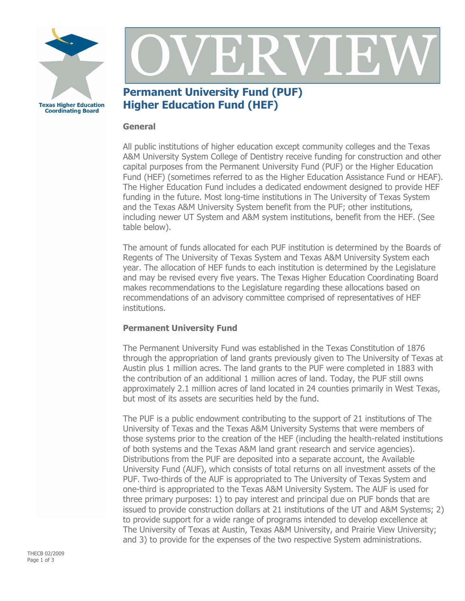



## **Permanent University Fund (PUF) Higher Education Fund (HEF)**

## **General**

All public institutions of higher education except community colleges and the Texas A&M University System College of Dentistry receive funding for construction and other capital purposes from the Permanent University Fund (PUF) or the Higher Education Fund (HEF) (sometimes referred to as the Higher Education Assistance Fund or HEAF). The Higher Education Fund includes a dedicated endowment designed to provide HEF funding in the future. Most long-time institutions in The University of Texas System and the Texas A&M University System benefit from the PUF; other institutions, including newer UT System and A&M system institutions, benefit from the HEF. (See table below).

The amount of funds allocated for each PUF institution is determined by the Boards of Regents of The University of Texas System and Texas A&M University System each year. The allocation of HEF funds to each institution is determined by the Legislature and may be revised every five years. The Texas Higher Education Coordinating Board makes recommendations to the Legislature regarding these allocations based on recommendations of an advisory committee comprised of representatives of HEF institutions.

## **Permanent University Fund**

The Permanent University Fund was established in the Texas Constitution of 1876 through the appropriation of land grants previously given to The University of Texas at Austin plus 1 million acres. The land grants to the PUF were completed in 1883 with the contribution of an additional 1 million acres of land. Today, the PUF still owns approximately 2.1 million acres of land located in 24 counties primarily in West Texas, but most of its assets are securities held by the fund.

The PUF is a public endowment contributing to the support of 21 institutions of The University of Texas and the Texas A&M University Systems that were members of those systems prior to the creation of the HEF (including the health-related institutions of both systems and the Texas A&M land grant research and service agencies). Distributions from the PUF are deposited into a separate account, the Available University Fund (AUF), which consists of total returns on all investment assets of the PUF. Two-thirds of the AUF is appropriated to The University of Texas System and one-third is appropriated to the Texas A&M University System. The AUF is used for three primary purposes: 1) to pay interest and principal due on PUF bonds that are issued to provide construction dollars at 21 institutions of the UT and A&M Systems; 2) to provide support for a wide range of programs intended to develop excellence at The University of Texas at Austin, Texas A&M University, and Prairie View University; and 3) to provide for the expenses of the two respective System administrations.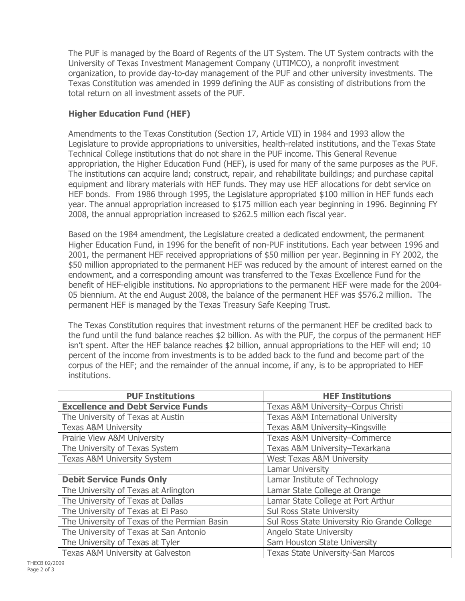The PUF is managed by the Board of Regents of the UT System. The UT System contracts with the University of Texas Investment Management Company (UTIMCO), a nonprofit investment organization, to provide day-to-day management of the PUF and other university investments. The Texas Constitution was amended in 1999 defining the AUF as consisting of distributions from the total return on all investment assets of the PUF.

## **Higher Education Fund (HEF)**

Amendments to the Texas Constitution (Section 17, Article VII) in 1984 and 1993 allow the Legislature to provide appropriations to universities, health-related institutions, and the Texas State Technical College institutions that do not share in the PUF income. This General Revenue appropriation, the Higher Education Fund (HEF), is used for many of the same purposes as the PUF. The institutions can acquire land; construct, repair, and rehabilitate buildings; and purchase capital equipment and library materials with HEF funds. They may use HEF allocations for debt service on HEF bonds. From 1986 through 1995, the Legislature appropriated \$100 million in HEF funds each year. The annual appropriation increased to \$175 million each year beginning in 1996. Beginning FY 2008, the annual appropriation increased to \$262.5 million each fiscal year.

Based on the 1984 amendment, the Legislature created a dedicated endowment, the permanent Higher Education Fund, in 1996 for the benefit of non-PUF institutions. Each year between 1996 and 2001, the permanent HEF received appropriations of \$50 million per year. Beginning in FY 2002, the \$50 million appropriated to the permanent HEF was reduced by the amount of interest earned on the endowment, and a corresponding amount was transferred to the Texas Excellence Fund for the benefit of HEF-eligible institutions. No appropriations to the permanent HEF were made for the 2004-05 biennium. At the end August 2008, the balance of the permanent HEF was \$576.2 million. The permanent HEF is managed by the Texas Treasury Safe Keeping Trust.

The Texas Constitution requires that investment returns of the permanent HEF be credited back to the fund until the fund balance reaches \$2 billion. As with the PUF, the corpus of the permanent HEF isn't spent. After the HEF balance reaches \$2 billion, annual appropriations to the HEF will end; 10 percent of the income from investments is to be added back to the fund and become part of the corpus of the HEF; and the remainder of the annual income, if any, is to be appropriated to HEF institutions.

| <b>PUF Institutions</b>                      | <b>HEF Institutions</b>                       |
|----------------------------------------------|-----------------------------------------------|
| <b>Excellence and Debt Service Funds</b>     | Texas A&M University-Corpus Christi           |
| The University of Texas at Austin            | <b>Texas A&amp;M International University</b> |
| <b>Texas A&amp;M University</b>              | Texas A&M University-Kingsville               |
| Prairie View A&M University                  | <b>Texas A&amp;M University-Commerce</b>      |
| The University of Texas System               | Texas A&M University-Texarkana                |
| <b>Texas A&amp;M University System</b>       | <b>West Texas A&amp;M University</b>          |
|                                              | <b>Lamar University</b>                       |
| <b>Debit Service Funds Only</b>              | Lamar Institute of Technology                 |
| The University of Texas at Arlington         | Lamar State College at Orange                 |
| The University of Texas at Dallas            | Lamar State College at Port Arthur            |
| The University of Texas at El Paso           | Sul Ross State University                     |
| The University of Texas of the Permian Basin | Sul Ross State University Rio Grande College  |
| The University of Texas at San Antonio       | <b>Angelo State University</b>                |
| The University of Texas at Tyler             | Sam Houston State University                  |
| Texas A&M University at Galveston            | <b>Texas State University-San Marcos</b>      |